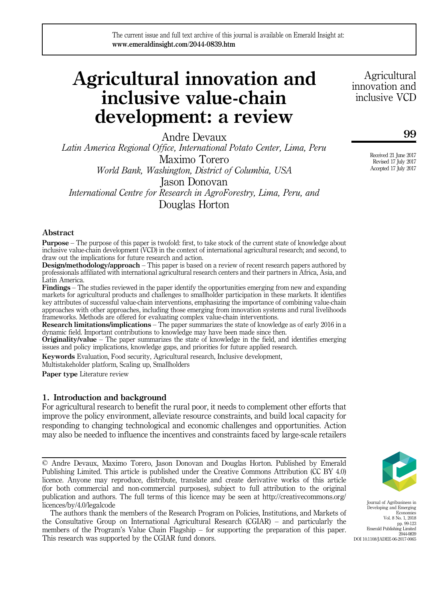# Agricultural innovation and inclusive value-chain development: a review

Andre Devaux Latin America Regional Office, International Potato Center, Lima, Peru Maximo Torero World Bank, Washington, District of Columbia, USA Jason Donovan International Centre for Research in AgroForestry, Lima, Peru, and

Douglas Horton

# Abstract

Purpose – The purpose of this paper is twofold: first, to take stock of the current state of knowledge about inclusive value-chain development (VCD) in the context of international agricultural research; and second, to draw out the implications for future research and action.

**Design/methodology/approach** – This paper is based on a review of recent research papers authored by professionals affiliated with international agricultural research centers and their partners in Africa, Asia, and Latin America.

Findings – The studies reviewed in the paper identify the opportunities emerging from new and expanding markets for agricultural products and challenges to smallholder participation in these markets. It identifies key attributes of successful value-chain interventions, emphasizing the importance of combining value-chain approaches with other approaches, including those emerging from innovation systems and rural livelihoods frameworks. Methods are offered for evaluating complex value-chain interventions.

Research limitations/implications – The paper summarizes the state of knowledge as of early 2016 in a dynamic field. Important contributions to knowledge may have been made since then.

Originality/value – The paper summarizes the state of knowledge in the field, and identifies emerging issues and policy implications, knowledge gaps, and priorities for future applied research.

Keywords Evaluation, Food security, Agricultural research, Inclusive development,

Multistakeholder platform, Scaling up, Smallholders

Paper type Literature review

# 1. Introduction and background

For agricultural research to benefit the rural poor, it needs to complement other efforts that improve the policy environment, alleviate resource constraints, and build local capacity for responding to changing technological and economic challenges and opportunities. Action may also be needed to influence the incentives and constraints faced by large-scale retailers

© Andre Devaux, Maximo Torero, Jason Donovan and Douglas Horton. Published by Emerald Publishing Limited. This article is published under the Creative Commons Attribution (CC BY 4.0) licence. Anyone may reproduce, distribute, translate and create derivative works of this article (for both commercial and non-commercial purposes), subject to full attribution to the original publication and authors. The full terms of this licence may be seen at [http://creativecommons.org/](http://creativecommons.org/licences/by/4.0/legalcode) [licences/by/4.0/legalcode](http://creativecommons.org/licences/by/4.0/legalcode)

The authors thank the members of the Research Program on Policies, Institutions, and Markets of the Consultative Group on International Agricultural Research (CGIAR) – and particularly the members of the Program's Value Chain Flagship – for supporting the preparation of this paper. This research was supported by the CGIAR fund donors.

Agricultural innovation and inclusive VCD

99

Received 21 June 2017 Revised 17 July 2017 Accepted 17 July 2017



Journal of Agribusiness in Developing and Emerging **Economies** Vol. 8 No. 1, 2018 pp. 99-123 Emerald Publishing Limited 2044-0839 DOI 10.1108/JADEE-06-2017-0065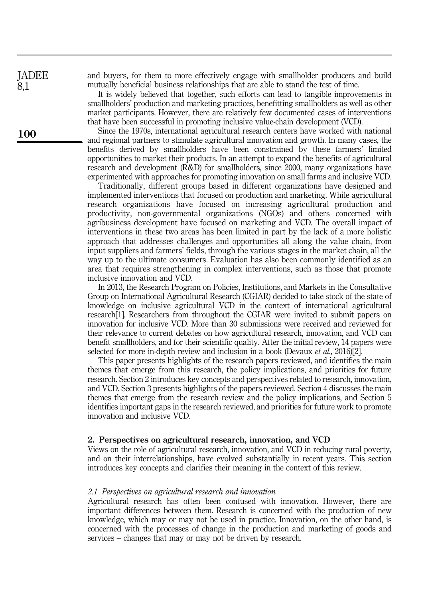JADEE 8,1

100

and buyers, for them to more effectively engage with smallholder producers and build mutually beneficial business relationships that are able to stand the test of time.

It is widely believed that together, such efforts can lead to tangible improvements in smallholders' production and marketing practices, benefitting smallholders as well as other market participants. However, there are relatively few documented cases of interventions that have been successful in promoting inclusive value-chain development (VCD).

Since the 1970s, international agricultural research centers have worked with national and regional partners to stimulate agricultural innovation and growth. In many cases, the benefits derived by smallholders have been constrained by these farmers' limited opportunities to market their products. In an attempt to expand the benefits of agricultural research and development (R&D) for smallholders, since 2000, many organizations have experimented with approaches for promoting innovation on small farms and inclusive VCD.

Traditionally, different groups based in different organizations have designed and implemented interventions that focused on production and marketing. While agricultural research organizations have focused on increasing agricultural production and productivity, non-governmental organizations (NGOs) and others concerned with agribusiness development have focused on marketing and VCD. The overall impact of interventions in these two areas has been limited in part by the lack of a more holistic approach that addresses challenges and opportunities all along the value chain, from input suppliers and farmers' fields, through the various stages in the market chain, all the way up to the ultimate consumers. Evaluation has also been commonly identified as an area that requires strengthening in complex interventions, such as those that promote inclusive innovation and VCD.

In 2013, the Research Program on Policies, Institutions, and Markets in the Consultative Group on International Agricultural Research (CGIAR) decided to take stock of the state of knowledge on inclusive agricultural VCD in the context of international agricultural research[1]. Researchers from throughout the CGIAR were invited to submit papers on innovation for inclusive VCD. More than 30 submissions were received and reviewed for their relevance to current debates on how agricultural research, innovation, and VCD can benefit smallholders, and for their scientific quality. After the initial review, 14 papers were selected for more in-depth review and inclusion in a book (Devaux et al., 2016)[2].

This paper presents highlights of the research papers reviewed, and identifies the main themes that emerge from this research, the policy implications, and priorities for future research. Section 2 introduces key concepts and perspectives related to research, innovation, and VCD. Section 3 presents highlights of the papers reviewed. Section 4 discusses the main themes that emerge from the research review and the policy implications, and Section 5 identifies important gaps in the research reviewed, and priorities for future work to promote innovation and inclusive VCD.

#### 2. Perspectives on agricultural research, innovation, and VCD

Views on the role of agricultural research, innovation, and VCD in reducing rural poverty, and on their interrelationships, have evolved substantially in recent years. This section introduces key concepts and clarifies their meaning in the context of this review.

#### 2.1 Perspectives on agricultural research and innovation

Agricultural research has often been confused with innovation. However, there are important differences between them. Research is concerned with the production of new knowledge, which may or may not be used in practice. Innovation, on the other hand, is concerned with the processes of change in the production and marketing of goods and services – changes that may or may not be driven by research.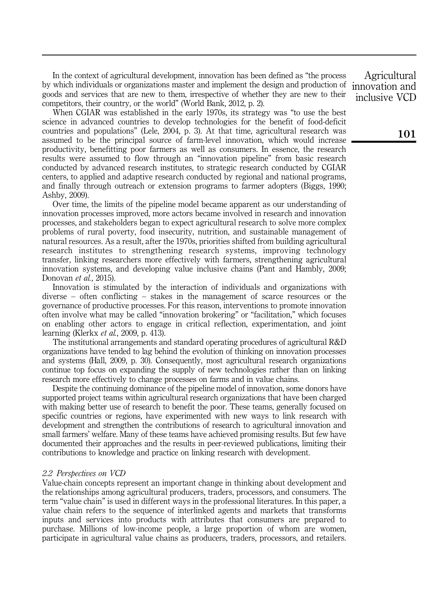In the context of agricultural development, innovation has been defined as "the process by which individuals or organizations master and implement the design and production of goods and services that are new to them, irrespective of whether they are new to their competitors, their country, or the world" (World Bank, 2012, p. 2).

When CGIAR was established in the early 1970s, its strategy was "to use the best science in advanced countries to develop technologies for the benefit of food-deficit countries and populations" (Lele, 2004, p. 3). At that time, agricultural research was assumed to be the principal source of farm-level innovation, which would increase productivity, benefitting poor farmers as well as consumers. In essence, the research results were assumed to flow through an "innovation pipeline" from basic research conducted by advanced research institutes, to strategic research conducted by CGIAR centers, to applied and adaptive research conducted by regional and national programs, and finally through outreach or extension programs to farmer adopters (Biggs, 1990; Ashby, 2009).

Over time, the limits of the pipeline model became apparent as our understanding of innovation processes improved, more actors became involved in research and innovation processes, and stakeholders began to expect agricultural research to solve more complex problems of rural poverty, food insecurity, nutrition, and sustainable management of natural resources. As a result, after the 1970s, priorities shifted from building agricultural research institutes to strengthening research systems, improving technology transfer, linking researchers more effectively with farmers, strengthening agricultural innovation systems, and developing value inclusive chains (Pant and Hambly, 2009; Donovan et al., 2015).

Innovation is stimulated by the interaction of individuals and organizations with diverse – often conflicting – stakes in the management of scarce resources or the governance of productive processes. For this reason, interventions to promote innovation often involve what may be called "innovation brokering" or "facilitation," which focuses on enabling other actors to engage in critical reflection, experimentation, and joint learning (Klerkx et al., 2009, p. 413).

The institutional arrangements and standard operating procedures of agricultural R&D organizations have tended to lag behind the evolution of thinking on innovation processes and systems (Hall, 2009, p. 30). Consequently, most agricultural research organizations continue top focus on expanding the supply of new technologies rather than on linking research more effectively to change processes on farms and in value chains.

Despite the continuing dominance of the pipeline model of innovation, some donors have supported project teams within agricultural research organizations that have been charged with making better use of research to benefit the poor. These teams, generally focused on specific countries or regions, have experimented with new ways to link research with development and strengthen the contributions of research to agricultural innovation and small farmers' welfare. Many of these teams have achieved promising results. But few have documented their approaches and the results in peer-reviewed publications, limiting their contributions to knowledge and practice on linking research with development.

## 2.2 Perspectives on VCD

Value-chain concepts represent an important change in thinking about development and the relationships among agricultural producers, traders, processors, and consumers. The term "value chain" is used in different ways in the professional literatures. In this paper, a value chain refers to the sequence of interlinked agents and markets that transforms inputs and services into products with attributes that consumers are prepared to purchase. Millions of low-income people, a large proportion of whom are women, participate in agricultural value chains as producers, traders, processors, and retailers.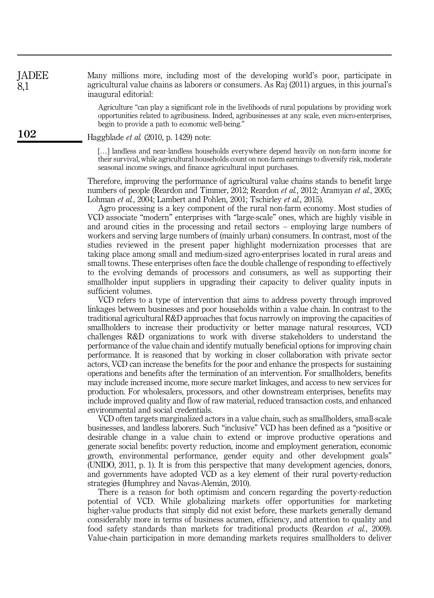Many millions more, including most of the developing world's poor, participate in agricultural value chains as laborers or consumers. As Raj (2011) argues, in this journal's inaugural editorial: JADEE 8,1

> Agriculture "can play a significant role in the livelihoods of rural populations by providing work opportunities related to agribusiness. Indeed, agribusinesses at any scale, even micro-enterprises, begin to provide a path to economic well-being."

Haggblade et al. (2010, p. 1429) note:

[...] landless and near-landless households everywhere depend heavily on non-farm income for their survival, while agricultural households count on non-farm earnings to diversify risk, moderate seasonal income swings, and finance agricultural input purchases.

Therefore, improving the performance of agricultural value chains stands to benefit large numbers of people (Reardon and Timmer, 2012; Reardon *et al.*, 2012; Aramyan *et al.*, 2005; Lohman et al., 2004; Lambert and Pohlen, 2001; Tschirley et al., 2015).

Agro processing is a key component of the rural non-farm economy. Most studies of VCD associate "modern" enterprises with "large-scale" ones, which are highly visible in and around cities in the processing and retail sectors – employing large numbers of workers and serving large numbers of (mainly urban) consumers. In contrast, most of the studies reviewed in the present paper highlight modernization processes that are taking place among small and medium-sized agro-enterprises located in rural areas and small towns. These enterprises often face the double challenge of responding to effectively to the evolving demands of processors and consumers, as well as supporting their smallholder input suppliers in upgrading their capacity to deliver quality inputs in sufficient volumes.

VCD refers to a type of intervention that aims to address poverty through improved linkages between businesses and poor households within a value chain. In contrast to the traditional agricultural R&D approaches that focus narrowly on improving the capacities of smallholders to increase their productivity or better manage natural resources, VCD challenges R&D organizations to work with diverse stakeholders to understand the performance of the value chain and identify mutually beneficial options for improving chain performance. It is reasoned that by working in closer collaboration with private sector actors, VCD can increase the benefits for the poor and enhance the prospects for sustaining operations and benefits after the termination of an intervention. For smallholders, benefits may include increased income, more secure market linkages, and access to new services for production. For wholesalers, processors, and other downstream enterprises, benefits may include improved quality and flow of raw material, reduced transaction costs, and enhanced environmental and social credentials.

VCD often targets marginalized actors in a value chain, such as smallholders, small-scale businesses, and landless laborers. Such "inclusive" VCD has been defined as a "positive or desirable change in a value chain to extend or improve productive operations and generate social benefits: poverty reduction, income and employment generation, economic growth, environmental performance, gender equity and other development goals" (UNIDO, 2011, p. 1). It is from this perspective that many development agencies, donors, and governments have adopted VCD as a key element of their rural poverty-reduction strategies (Humphrey and Navas-Alemán, 2010).

There is a reason for both optimism and concern regarding the poverty-reduction potential of VCD. While globalizing markets offer opportunities for marketing higher-value products that simply did not exist before, these markets generally demand considerably more in terms of business acumen, efficiency, and attention to quality and food safety standards than markets for traditional products (Reardon et al., 2009). Value-chain participation in more demanding markets requires smallholders to deliver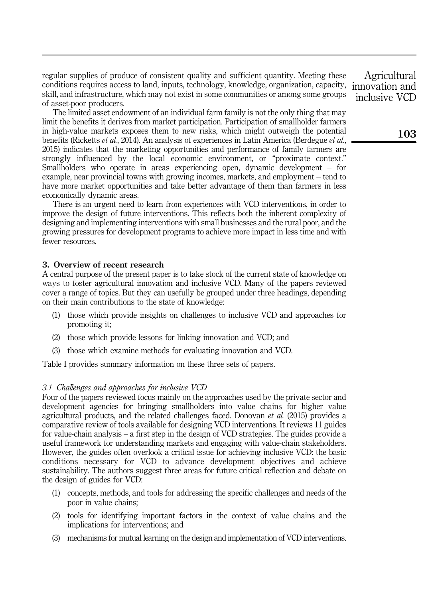regular supplies of produce of consistent quality and sufficient quantity. Meeting these conditions requires access to land, inputs, technology, knowledge, organization, capacity, skill, and infrastructure, which may not exist in some communities or among some groups of asset-poor producers.

The limited asset endowment of an individual farm family is not the only thing that may limit the benefits it derives from market participation. Participation of smallholder farmers in high-value markets exposes them to new risks, which might outweigh the potential benefits (Ricketts *et al.*, 2014). An analysis of experiences in Latin America (Berdegue *et al.*, 2015) indicates that the marketing opportunities and performance of family farmers are strongly influenced by the local economic environment, or "proximate context." Smallholders who operate in areas experiencing open, dynamic development – for example, near provincial towns with growing incomes, markets, and employment – tend to have more market opportunities and take better advantage of them than farmers in less economically dynamic areas.

There is an urgent need to learn from experiences with VCD interventions, in order to improve the design of future interventions. This reflects both the inherent complexity of designing and implementing interventions with small businesses and the rural poor, and the growing pressures for development programs to achieve more impact in less time and with fewer resources.

## 3. Overview of recent research

A central purpose of the present paper is to take stock of the current state of knowledge on ways to foster agricultural innovation and inclusive VCD. Many of the papers reviewed cover a range of topics. But they can usefully be grouped under three headings, depending on their main contributions to the state of knowledge:

- (1) those which provide insights on challenges to inclusive VCD and approaches for promoting it;
- (2) those which provide lessons for linking innovation and VCD; and
- (3) those which examine methods for evaluating innovation and VCD.

Table I provides summary information on these three sets of papers.

## 3.1 Challenges and approaches for inclusive VCD

Four of the papers reviewed focus mainly on the approaches used by the private sector and development agencies for bringing smallholders into value chains for higher value agricultural products, and the related challenges faced. Donovan et al. (2015) provides a comparative review of tools available for designing VCD interventions. It reviews 11 guides for value-chain analysis – a first step in the design of VCD strategies. The guides provide a useful framework for understanding markets and engaging with value-chain stakeholders. However, the guides often overlook a critical issue for achieving inclusive VCD: the basic conditions necessary for VCD to advance development objectives and achieve sustainability. The authors suggest three areas for future critical reflection and debate on the design of guides for VCD:

- (1) concepts, methods, and tools for addressing the specific challenges and needs of the poor in value chains;
- (2) tools for identifying important factors in the context of value chains and the implications for interventions; and
- (3) mechanisms for mutual learning on the design and implementation of VCD interventions.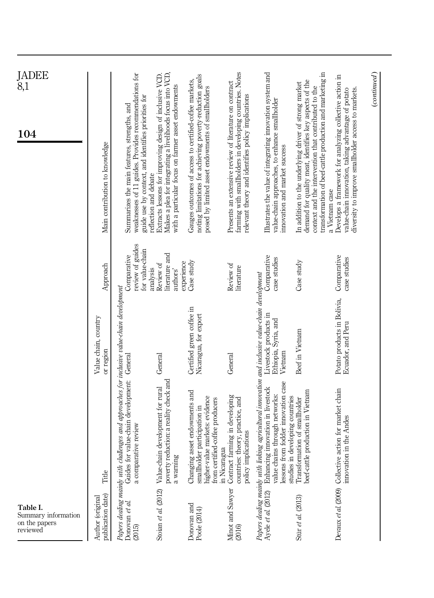| JADEE<br>$\tilde{8},1$                                       |                                       |                                                                                                                                                                   |                                                                                                                                                                                                      |                                                                                                                                                                         |                                                                                                                                                                          |                                                                                                                                                                                                                |                                                                                                                                                                         |                                                                                                                                                                                                                                                     | (continued) |
|--------------------------------------------------------------|---------------------------------------|-------------------------------------------------------------------------------------------------------------------------------------------------------------------|------------------------------------------------------------------------------------------------------------------------------------------------------------------------------------------------------|-------------------------------------------------------------------------------------------------------------------------------------------------------------------------|--------------------------------------------------------------------------------------------------------------------------------------------------------------------------|----------------------------------------------------------------------------------------------------------------------------------------------------------------------------------------------------------------|-------------------------------------------------------------------------------------------------------------------------------------------------------------------------|-----------------------------------------------------------------------------------------------------------------------------------------------------------------------------------------------------------------------------------------------------|-------------|
| 104                                                          | Main contribution to knowledge        | weaknesses of 11 guides. Provides recommendations for<br>guide use by context, and identifies priorities for<br>Summarizes the main features, strengths, and      | Makes a plea for integrating a livelihoods focus into VCD,<br>Extracts lessons for improving design of inclusive VCD.<br>with a particular focus on farmer asset endowments<br>reflection and debate | noting limitations for achieving poverty-reduction goals<br>Gauges outcomes of access to certified-coffee markets,<br>posed by limited asset endowments of smallholders | farming with smallholders in developing countries. Notes<br>Presents an extensive review of literature on contract<br>relevant theory and identifies policy implications | Illustrates the value of integrating innovation system and<br>value-chain approaches, to enhance smallholder<br>innovation and market success                                                                  | demand for quality meat, identifies key aspects of the<br>In addition to the underlying driver of strong market<br>context and the intervention that contributed to the | transformation of beef-cattle production and marketing in<br>Develops a framework for analyzing collective action in<br>diversity to improve smallholder access to markets.<br>value-chain innovation, taking advantage of potato<br>a Vietnam case |             |
|                                                              | Approach                              | review of guides<br>for value-chain<br>Comparative                                                                                                                | literature and<br>experience<br>Review of<br>analysis<br>authors'                                                                                                                                    | Case study                                                                                                                                                              | Review of<br>literature                                                                                                                                                  | Comparative<br>case studies                                                                                                                                                                                    | Case study                                                                                                                                                              | Comparative<br>case studies                                                                                                                                                                                                                         |             |
|                                                              | Value chain, country<br>or region     |                                                                                                                                                                   | General                                                                                                                                                                                              | Certified green coffee in<br>Nicaragua, for export                                                                                                                      | General                                                                                                                                                                  | Livestock products in<br>Ethiopia, Syria, and<br>Vietnam                                                                                                                                                       | Beef in Vietnam                                                                                                                                                         | Potato products in Bolivia,<br>Ecuador, and Peru                                                                                                                                                                                                    |             |
|                                                              | Title                                 | Papers dealing mainly with challenges and approaches for inclusive value-chain development<br>Guides for value-chain development: General<br>a comparative review | poverty reduction: a reality check and<br>Value-chain development for rural<br>a warning                                                                                                             | Changing asset endowments and<br>higher-value markets: evidence<br>from certified-coffee producers<br>smallholder participation in<br>in Nicaragua                      | farming in developing<br>countries: theory, practice, and<br>policy implications<br>Contract                                                                             | Papers dealing mainly with linking agricultural innovation and inclusive value-chain development<br>lessons from fodder innovation case<br>Enhancing innovation in livestock<br>value chains through networks: | beef-cattle production in Vietnam<br>studies in developing countries<br>Transformation of smallholder                                                                   | Devaux et al. (2009) Collective action for market chain<br>innovation in the Andes                                                                                                                                                                  |             |
| Table I.<br>Summary information<br>on the papers<br>reviewed | publication date)<br>Author (original | Donovan $et$ al.<br>(2015)                                                                                                                                        | (2012)<br>Stoian et al.                                                                                                                                                                              | Donovan and<br>Poole (2014)                                                                                                                                             | Minot and Sawyer<br>(2016)                                                                                                                                               | Ayele et al. (2012)                                                                                                                                                                                            | Stür et al. (2013)                                                                                                                                                      |                                                                                                                                                                                                                                                     |             |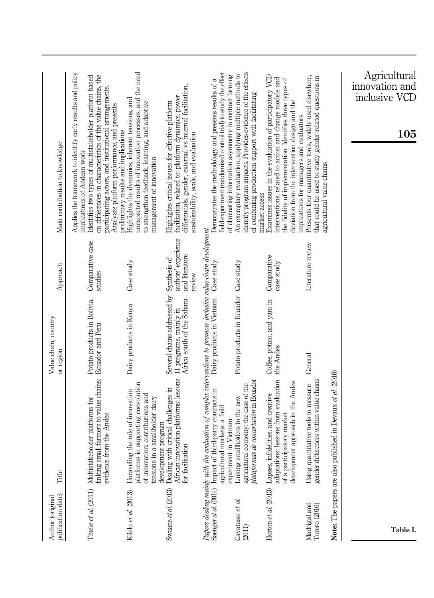| publication date)<br>Author (original | Title                                                                                                                                                                                                        | Value chain, country<br>or region                                                   | Approach                                                        | Main contribution to knowledge                                                                                                                                                                                                                                                                                             |
|---------------------------------------|--------------------------------------------------------------------------------------------------------------------------------------------------------------------------------------------------------------|-------------------------------------------------------------------------------------|-----------------------------------------------------------------|----------------------------------------------------------------------------------------------------------------------------------------------------------------------------------------------------------------------------------------------------------------------------------------------------------------------------|
| Thiele et al. (2011)                  | linking small farmers to value chains: Ecuador and Peru<br>Multistakeholder platforms for<br>evidence from the Andes                                                                                         | Potato products in Bolivia,                                                         | Comparative case<br>studies                                     | Applies the framework to identify early results and policy<br>on differences in characteristics of the value chains, the<br>Identifies two types of multistakeholder platform based<br>participating actors, and institutional arrangements.<br>Analyzes platform performance, and presents<br>implications of Andean work |
| Kilelu et al. (2013)                  | in supporting coevolution<br>Unraveling the role of innovation<br>of innovation: contributions and<br>tensions in a smallholder dairy<br>platforms                                                           | Dairy products in Kenya                                                             | Case study                                                      | unexpected results of innovation processes, and the need<br>Highlights the dynamics, inherent tensions, and<br>to strengthen feedback, learning, and adaptive<br>preliminary results and implications<br>management of innovation                                                                                          |
| Swaans et al. (2013)                  | Dealing with critical challenges in<br>African innovation platforms: lessons<br>development program<br>for facilitation                                                                                      | Several chains addressed by<br>Africa south of the Sahara<br>11 programs, mainly in | authors' experience<br>and literature<br>Synthesis of<br>review | differentials, gender, external vs internal facilitation,<br>facilitation, related to: platform dynamics, power<br>Highlights critical issues for effective platform<br>sustainability, scale, and evaluation                                                                                                              |
|                                       | Papers dealing mainly with the evaluation of complex interventions to promote inclusive value-chain development<br>Saenger et al. [2014) Impact of third-party contracts in<br>agricultural markets: a field | Dairy products in Vietnam Case study                                                |                                                                 | field experiment (randomized control trial) to study the effect<br>Demonstrates the methodology and presents results of a                                                                                                                                                                                                  |
| Cavatassi et al.<br>(2011)            | agricultural economy: the case of the<br>plataformas de concertación in Ecuador<br>Linking smallholders to the new<br>experiment in Vietnam                                                                  | Potato products in Ecuador Case study                                               |                                                                 | identify program impacts. Provides evidence of the effects<br>An exemplary evaluation, applying multiple methods to<br>of eliminating information asymmetry in contract farming<br>of combining production support with facilitating                                                                                       |
|                                       | adaptations: lessons from evaluation<br>development approach in the Andes<br>Horton et al. (2013) Lapses, infidelities, and creative<br>of a participatory market                                            | Coffee, potato, and yam in<br>the Andes                                             | Comparative<br>case study                                       | Examines issues in the evaluation of participatory VCD<br>interventions, related to action and change models and<br>the fidelity of implementation. Identifies three types of<br>deviation from the intervention design and the<br>market access                                                                           |
| Madrigal and<br>Torero (2016)         | gender differences within value chains<br>Using quantitative tools to measure                                                                                                                                | General                                                                             | Literature review                                               | Presents four quantitative tools, widely used elsewhere,<br>that could be used to study gender-related questions in<br>implications for managers and evaluators<br>agricultural value chains                                                                                                                               |
| Note: The papers are also pr          | ablished in Devaux et al. (2016)                                                                                                                                                                             |                                                                                     |                                                                 |                                                                                                                                                                                                                                                                                                                            |
| Table I.                              |                                                                                                                                                                                                              |                                                                                     |                                                                 | Agricultural<br>innovation and<br>inclusive VCD<br>105                                                                                                                                                                                                                                                                     |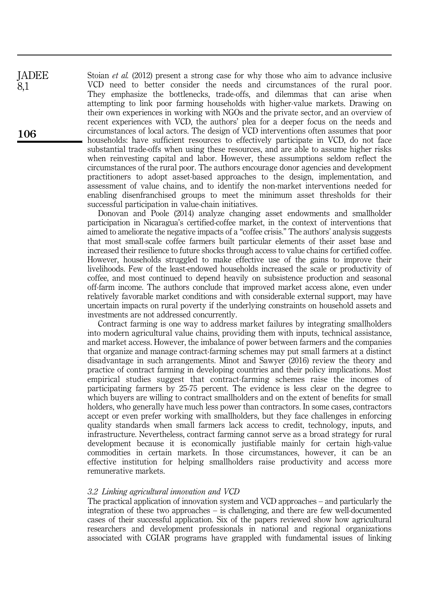Stoian *et al.* (2012) present a strong case for why those who aim to advance inclusive VCD need to better consider the needs and circumstances of the rural poor. They emphasize the bottlenecks, trade-offs, and dilemmas that can arise when attempting to link poor farming households with higher-value markets. Drawing on their own experiences in working with NGOs and the private sector, and an overview of recent experiences with VCD, the authors' plea for a deeper focus on the needs and circumstances of local actors. The design of VCD interventions often assumes that poor households: have sufficient resources to effectively participate in VCD, do not face substantial trade-offs when using these resources, and are able to assume higher risks when reinvesting capital and labor. However, these assumptions seldom reflect the circumstances of the rural poor. The authors encourage donor agencies and development practitioners to adopt asset-based approaches to the design, implementation, and assessment of value chains, and to identify the non-market interventions needed for enabling disenfranchised groups to meet the minimum asset thresholds for their successful participation in value-chain initiatives.

Donovan and Poole (2014) analyze changing asset endowments and smallholder participation in Nicaragua's certified-coffee market, in the context of interventions that aimed to ameliorate the negative impacts of a "coffee crisis." The authors' analysis suggests that most small-scale coffee farmers built particular elements of their asset base and increased their resilience to future shocks through access to value chains for certified coffee. However, households struggled to make effective use of the gains to improve their livelihoods. Few of the least-endowed households increased the scale or productivity of coffee, and most continued to depend heavily on subsistence production and seasonal off-farm income. The authors conclude that improved market access alone, even under relatively favorable market conditions and with considerable external support, may have uncertain impacts on rural poverty if the underlying constraints on household assets and investments are not addressed concurrently.

Contract farming is one way to address market failures by integrating smallholders into modern agricultural value chains, providing them with inputs, technical assistance, and market access. However, the imbalance of power between farmers and the companies that organize and manage contract-farming schemes may put small farmers at a distinct disadvantage in such arrangements. Minot and Sawyer (2016) review the theory and practice of contract farming in developing countries and their policy implications. Most empirical studies suggest that contract-farming schemes raise the incomes of participating farmers by 25-75 percent. The evidence is less clear on the degree to which buyers are willing to contract smallholders and on the extent of benefits for small holders, who generally have much less power than contractors. In some cases, contractors accept or even prefer working with smallholders, but they face challenges in enforcing quality standards when small farmers lack access to credit, technology, inputs, and infrastructure. Nevertheless, contract farming cannot serve as a broad strategy for rural development because it is economically justifiable mainly for certain high-value commodities in certain markets. In those circumstances, however, it can be an effective institution for helping smallholders raise productivity and access more remunerative markets.

## 3.2 Linking agricultural innovation and VCD

The practical application of innovation system and VCD approaches – and particularly the integration of these two approaches – is challenging, and there are few well-documented cases of their successful application. Six of the papers reviewed show how agricultural researchers and development professionals in national and regional organizations associated with CGIAR programs have grappled with fundamental issues of linking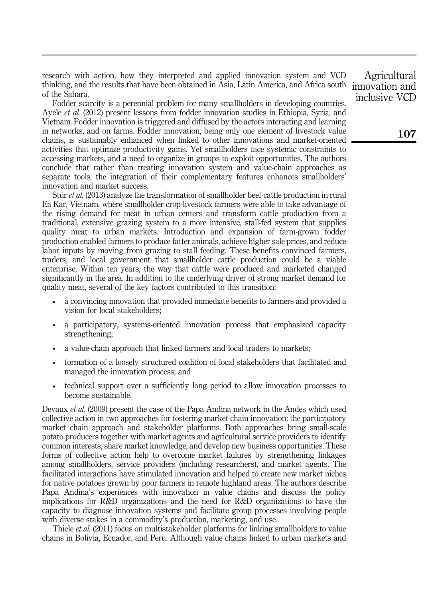research with action, how they interpreted and applied innovation system and VCD thinking, and the results that have been obtained in Asia, Latin America, and Africa south of the Sahara.

Fodder scarcity is a perennial problem for many smallholders in developing countries. Ayele et al. (2012) present lessons from fodder innovation studies in Ethiopia, Syria, and Vietnam. Fodder innovation is triggered and diffused by the actors interacting and learning in networks, and on farms. Fodder innovation, being only one element of livestock value chains, is sustainably enhanced when linked to other innovations and market-oriented activities that optimize productivity gains. Yet smallholders face systemic constraints to accessing markets, and a need to organize in groups to exploit opportunities. The authors conclude that rather than treating innovation system and value-chain approaches as separate tools, the integration of their complementary features enhances smallholders' innovation and market success.

Stür et al. (2013) analyze the transformation of smallholder beef-cattle production in rural Ea Kar, Vietnam, where smallholder crop-livestock farmers were able to take advantage of the rising demand for meat in urban centers and transform cattle production from a traditional, extensive grazing system to a more intensive, stall-fed system that supplies quality meat to urban markets. Introduction and expansion of farm-grown fodder production enabled farmers to produce fatter animals, achieve higher sale prices, and reduce labor inputs by moving from grazing to stall feeding. These benefits convinced farmers, traders, and local government that smallholder cattle production could be a viable enterprise. Within ten years, the way that cattle were produced and marketed changed significantly in the area. In addition to the underlying driver of strong market demand for quality meat, several of the key factors contributed to this transition:

- a convincing innovation that provided immediate benefits to farmers and provided a vision for local stakeholders;
- a participatory, systems-oriented innovation process that emphasized capacity strengthening;
- a value-chain approach that linked farmers and local traders to markets;
- formation of a loosely structured coalition of local stakeholders that facilitated and managed the innovation process; and
- technical support over a sufficiently long period to allow innovation processes to become sustainable.

Devaux *et al.* (2009) present the case of the Papa Andina network in the Andes which used collective action in two approaches for fostering market chain innovation: the participatory market chain approach and stakeholder platforms. Both approaches bring small-scale potato producers together with market agents and agricultural service providers to identify common interests, share market knowledge, and develop new business opportunities. These forms of collective action help to overcome market failures by strengthening linkages among smallholders, service providers (including researchers), and market agents. The facilitated interactions have stimulated innovation and helped to create new market niches for native potatoes grown by poor farmers in remote highland areas. The authors describe Papa Andina's experiences with innovation in value chains and discuss the policy implications for R&D organizations and the need for R&D organizations to have the capacity to diagnose innovation systems and facilitate group processes involving people with diverse stakes in a commodity's production, marketing, and use.

Thiele et al. (2011) focus on multistakeholder platforms for linking smallholders to value chains in Bolivia, Ecuador, and Peru. Although value chains linked to urban markets and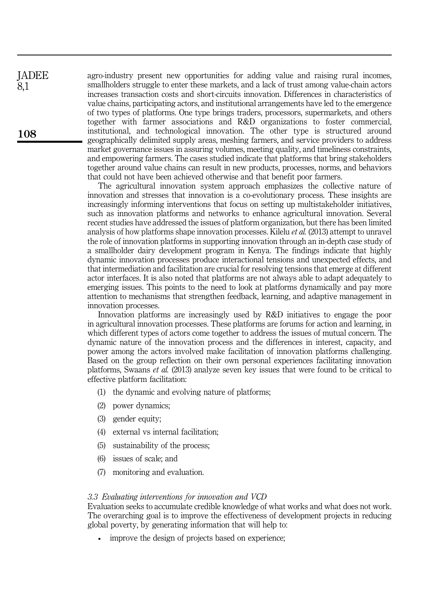agro-industry present new opportunities for adding value and raising rural incomes, smallholders struggle to enter these markets, and a lack of trust among value-chain actors increases transaction costs and short-circuits innovation. Differences in characteristics of value chains, participating actors, and institutional arrangements have led to the emergence of two types of platforms. One type brings traders, processors, supermarkets, and others together with farmer associations and R&D organizations to foster commercial, institutional, and technological innovation. The other type is structured around geographically delimited supply areas, meshing farmers, and service providers to address market governance issues in assuring volumes, meeting quality, and timeliness constraints, and empowering farmers. The cases studied indicate that platforms that bring stakeholders together around value chains can result in new products, processes, norms, and behaviors that could not have been achieved otherwise and that benefit poor farmers.

The agricultural innovation system approach emphasizes the collective nature of innovation and stresses that innovation is a co-evolutionary process. These insights are increasingly informing interventions that focus on setting up multistakeholder initiatives, such as innovation platforms and networks to enhance agricultural innovation. Several recent studies have addressed the issues of platform organization, but there has been limited analysis of how platforms shape innovation processes. Kilelu *et al.* (2013) attempt to unravel the role of innovation platforms in supporting innovation through an in-depth case study of a smallholder dairy development program in Kenya. The findings indicate that highly dynamic innovation processes produce interactional tensions and unexpected effects, and that intermediation and facilitation are crucial for resolving tensions that emerge at different actor interfaces. It is also noted that platforms are not always able to adapt adequately to emerging issues. This points to the need to look at platforms dynamically and pay more attention to mechanisms that strengthen feedback, learning, and adaptive management in innovation processes.

Innovation platforms are increasingly used by R&D initiatives to engage the poor in agricultural innovation processes. These platforms are forums for action and learning, in which different types of actors come together to address the issues of mutual concern. The dynamic nature of the innovation process and the differences in interest, capacity, and power among the actors involved make facilitation of innovation platforms challenging. Based on the group reflection on their own personal experiences facilitating innovation platforms, Swaans et al. (2013) analyze seven key issues that were found to be critical to effective platform facilitation:

- (1) the dynamic and evolving nature of platforms;
- (2) power dynamics;
- (3) gender equity;
- (4) external vs internal facilitation;
- (5) sustainability of the process;
- (6) issues of scale; and
- (7) monitoring and evaluation.

# 3.3 Evaluating interventions for innovation and VCD

Evaluation seeks to accumulate credible knowledge of what works and what does not work. The overarching goal is to improve the effectiveness of development projects in reducing global poverty, by generating information that will help to:

improve the design of projects based on experience;

108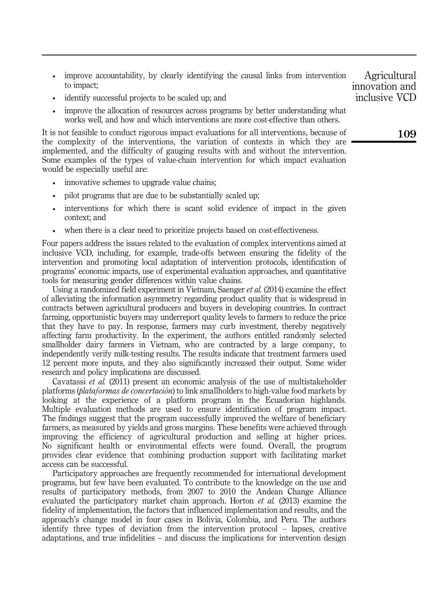- improve accountability, by clearly identifying the causal links from intervention to impact;
- identify successful projects to be scaled up; and
- improve the allocation of resources across programs by better understanding what works well, and how and which interventions are more cost-effective than others.

It is not feasible to conduct rigorous impact evaluations for all interventions, because of the complexity of the interventions, the variation of contexts in which they are implemented, and the difficulty of gauging results with and without the intervention. Some examples of the types of value-chain intervention for which impact evaluation would be especially useful are:

- innovative schemes to upgrade value chains;
- pilot programs that are due to be substantially scaled up;
- interventions for which there is scant solid evidence of impact in the given context; and
- when there is a clear need to prioritize projects based on cost-effectiveness.

Four papers address the issues related to the evaluation of complex interventions aimed at inclusive VCD, including, for example, trade-offs between ensuring the fidelity of the intervention and promoting local adaptation of intervention protocols, identification of programs' economic impacts, use of experimental evaluation approaches, and quantitative tools for measuring gender differences within value chains.

Using a randomized field experiment in Vietnam, Saenger et al. (2014) examine the effect of alleviating the information asymmetry regarding product quality that is widespread in contracts between agricultural producers and buyers in developing countries. In contract farming, opportunistic buyers may underreport quality levels to farmers to reduce the price that they have to pay. In response, farmers may curb investment, thereby negatively affecting farm productivity. In the experiment, the authors entitled randomly selected smallholder dairy farmers in Vietnam, who are contracted by a large company, to independently verify milk-testing results. The results indicate that treatment farmers used 12 percent more inputs, and they also significantly increased their output. Some wider research and policy implications are discussed.

Cavatassi et al. (2011) present an economic analysis of the use of multistakeholder platforms (plataformas de concertación) to link smallholders to high-value food markets by looking at the experience of a platform program in the Ecuadorian highlands. Multiple evaluation methods are used to ensure identification of program impact. The findings suggest that the program successfully improved the welfare of beneficiary farmers, as measured by yields and gross margins. These benefits were achieved through improving the efficiency of agricultural production and selling at higher prices. No significant health or environmental effects were found. Overall, the program provides clear evidence that combining production support with facilitating market access can be successful.

Participatory approaches are frequently recommended for international development programs, but few have been evaluated. To contribute to the knowledge on the use and results of participatory methods, from 2007 to 2010 the Andean Change Alliance evaluated the participatory market chain approach. Horton et al. (2013) examine the fidelity of implementation, the factors that influenced implementation and results, and the approach's change model in four cases in Bolivia, Colombia, and Peru. The authors identify three types of deviation from the intervention protocol – lapses, creative adaptations, and true infidelities – and discuss the implications for intervention design

Agricultural innovation and inclusive VCD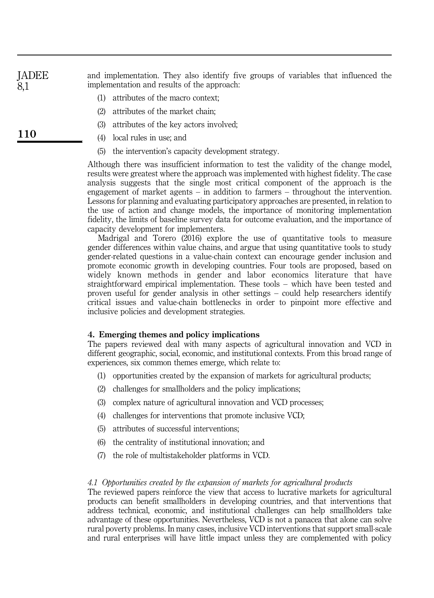and implementation. They also identify five groups of variables that influenced the implementation and results of the approach: JADEE 8,1

- (1) attributes of the macro context;
- (2) attributes of the market chain;
- (3) attributes of the key actors involved;
- (4) local rules in use; and
- (5) the intervention's capacity development strategy.

Although there was insufficient information to test the validity of the change model, results were greatest where the approach was implemented with highest fidelity. The case analysis suggests that the single most critical component of the approach is the engagement of market agents – in addition to farmers – throughout the intervention. Lessons for planning and evaluating participatory approaches are presented, in relation to the use of action and change models, the importance of monitoring implementation fidelity, the limits of baseline survey data for outcome evaluation, and the importance of capacity development for implementers.

Madrigal and Torero (2016) explore the use of quantitative tools to measure gender differences within value chains, and argue that using quantitative tools to study gender-related questions in a value-chain context can encourage gender inclusion and promote economic growth in developing countries. Four tools are proposed, based on widely known methods in gender and labor economics literature that have straightforward empirical implementation. These tools – which have been tested and proven useful for gender analysis in other settings – could help researchers identify critical issues and value-chain bottlenecks in order to pinpoint more effective and inclusive policies and development strategies.

## 4. Emerging themes and policy implications

The papers reviewed deal with many aspects of agricultural innovation and VCD in different geographic, social, economic, and institutional contexts. From this broad range of experiences, six common themes emerge, which relate to:

- (1) opportunities created by the expansion of markets for agricultural products;
- (2) challenges for smallholders and the policy implications;
- (3) complex nature of agricultural innovation and VCD processes;
- (4) challenges for interventions that promote inclusive VCD;
- (5) attributes of successful interventions;
- (6) the centrality of institutional innovation; and
- (7) the role of multistakeholder platforms in VCD.

# 4.1 Opportunities created by the expansion of markets for agricultural products

The reviewed papers reinforce the view that access to lucrative markets for agricultural products can benefit smallholders in developing countries, and that interventions that address technical, economic, and institutional challenges can help smallholders take advantage of these opportunities. Nevertheless, VCD is not a panacea that alone can solve rural poverty problems. In many cases, inclusive VCD interventions that support small-scale and rural enterprises will have little impact unless they are complemented with policy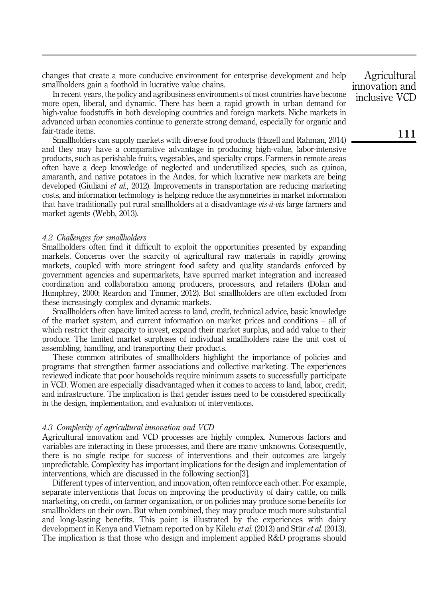changes that create a more conducive environment for enterprise development and help smallholders gain a foothold in lucrative value chains.

In recent years, the policy and agribusiness environments of most countries have become more open, liberal, and dynamic. There has been a rapid growth in urban demand for high-value foodstuffs in both developing countries and foreign markets. Niche markets in advanced urban economies continue to generate strong demand, especially for organic and fair-trade items.

Smallholders can supply markets with diverse food products (Hazell and Rahman, 2014) and they may have a comparative advantage in producing high-value, labor-intensive products, such as perishable fruits, vegetables, and specialty crops. Farmers in remote areas often have a deep knowledge of neglected and underutilized species, such as quinoa, amaranth, and native potatoes in the Andes, for which lucrative new markets are being developed (Giuliani *et al.*, 2012). Improvements in transportation are reducing marketing costs, and information technology is helping reduce the asymmetries in market information that have traditionally put rural smallholders at a disadvantage  $vis\cdot\hat{a}-vis$  large farmers and market agents (Webb, 2013).

# 4.2 Challenges for smallholders

Smallholders often find it difficult to exploit the opportunities presented by expanding markets. Concerns over the scarcity of agricultural raw materials in rapidly growing markets, coupled with more stringent food safety and quality standards enforced by government agencies and supermarkets, have spurred market integration and increased coordination and collaboration among producers, processors, and retailers (Dolan and Humphrey, 2000; Reardon and Timmer, 2012). But smallholders are often excluded from these increasingly complex and dynamic markets.

Smallholders often have limited access to land, credit, technical advice, basic knowledge of the market system, and current information on market prices and conditions – all of which restrict their capacity to invest, expand their market surplus, and add value to their produce. The limited market surpluses of individual smallholders raise the unit cost of assembling, handling, and transporting their products.

These common attributes of smallholders highlight the importance of policies and programs that strengthen farmer associations and collective marketing. The experiences reviewed indicate that poor households require minimum assets to successfully participate in VCD. Women are especially disadvantaged when it comes to access to land, labor, credit, and infrastructure. The implication is that gender issues need to be considered specifically in the design, implementation, and evaluation of interventions.

# 4.3 Complexity of agricultural innovation and VCD

Agricultural innovation and VCD processes are highly complex. Numerous factors and variables are interacting in these processes, and there are many unknowns. Consequently, there is no single recipe for success of interventions and their outcomes are largely unpredictable. Complexity has important implications for the design and implementation of interventions, which are discussed in the following section[3].

Different types of intervention, and innovation, often reinforce each other. For example, separate interventions that focus on improving the productivity of dairy cattle, on milk marketing, on credit, on farmer organization, or on policies may produce some benefits for smallholders on their own. But when combined, they may produce much more substantial and long-lasting benefits. This point is illustrated by the experiences with dairy development in Kenya and Vietnam reported on by Kilelu *et al.* (2013) and Stür *et al.* (2013). The implication is that those who design and implement applied R&D programs should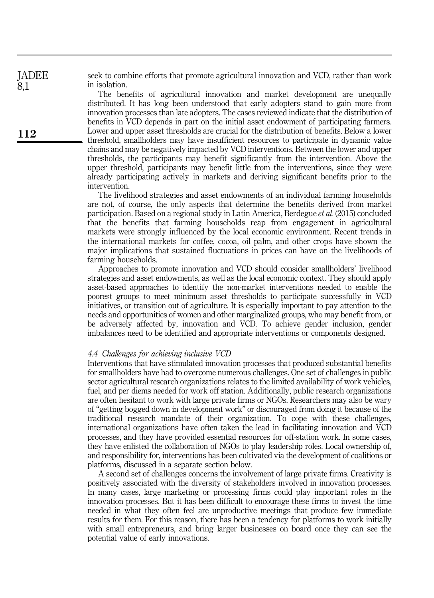seek to combine efforts that promote agricultural innovation and VCD, rather than work in isolation.

The benefits of agricultural innovation and market development are unequally distributed. It has long been understood that early adopters stand to gain more from innovation processes than late adopters. The cases reviewed indicate that the distribution of benefits in VCD depends in part on the initial asset endowment of participating farmers. Lower and upper asset thresholds are crucial for the distribution of benefits. Below a lower threshold, smallholders may have insufficient resources to participate in dynamic value chains and may be negatively impacted by VCD interventions. Between the lower and upper thresholds, the participants may benefit significantly from the intervention. Above the upper threshold, participants may benefit little from the interventions, since they were already participating actively in markets and deriving significant benefits prior to the intervention.

The livelihood strategies and asset endowments of an individual farming households are not, of course, the only aspects that determine the benefits derived from market participation. Based on a regional study in Latin America, Berdegue et al. (2015) concluded that the benefits that farming households reap from engagement in agricultural markets were strongly influenced by the local economic environment. Recent trends in the international markets for coffee, cocoa, oil palm, and other crops have shown the major implications that sustained fluctuations in prices can have on the livelihoods of farming households.

Approaches to promote innovation and VCD should consider smallholders' livelihood strategies and asset endowments, as well as the local economic context. They should apply asset-based approaches to identify the non-market interventions needed to enable the poorest groups to meet minimum asset thresholds to participate successfully in VCD initiatives, or transition out of agriculture. It is especially important to pay attention to the needs and opportunities of women and other marginalized groups, who may benefit from, or be adversely affected by, innovation and VCD. To achieve gender inclusion, gender imbalances need to be identified and appropriate interventions or components designed.

#### 4.4 Challenges for achieving inclusive VCD

Interventions that have stimulated innovation processes that produced substantial benefits for smallholders have had to overcome numerous challenges. One set of challenges in public sector agricultural research organizations relates to the limited availability of work vehicles, fuel, and per diems needed for work off station. Additionally, public research organizations are often hesitant to work with large private firms or NGOs. Researchers may also be wary of "getting bogged down in development work" or discouraged from doing it because of the traditional research mandate of their organization. To cope with these challenges, international organizations have often taken the lead in facilitating innovation and VCD processes, and they have provided essential resources for off-station work. In some cases, they have enlisted the collaboration of NGOs to play leadership roles. Local ownership of, and responsibility for, interventions has been cultivated via the development of coalitions or platforms, discussed in a separate section below.

A second set of challenges concerns the involvement of large private firms. Creativity is positively associated with the diversity of stakeholders involved in innovation processes. In many cases, large marketing or processing firms could play important roles in the innovation processes. But it has been difficult to encourage these firms to invest the time needed in what they often feel are unproductive meetings that produce few immediate results for them. For this reason, there has been a tendency for platforms to work initially with small entrepreneurs, and bring larger businesses on board once they can see the potential value of early innovations.

JADEE 8,1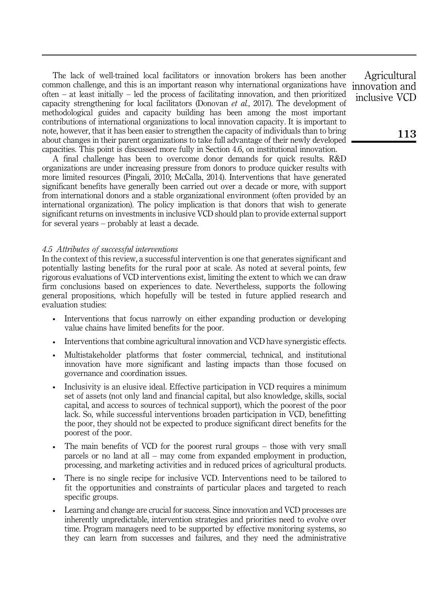The lack of well-trained local facilitators or innovation brokers has been another common challenge, and this is an important reason why international organizations have often – at least initially – led the process of facilitating innovation, and then prioritized capacity strengthening for local facilitators (Donovan et al., 2017). The development of methodological guides and capacity building has been among the most important contributions of international organizations to local innovation capacity. It is important to note, however, that it has been easier to strengthen the capacity of individuals than to bring about changes in their parent organizations to take full advantage of their newly developed capacities. This point is discussed more fully in Section 4.6, on institutional innovation.

A final challenge has been to overcome donor demands for quick results. R&D organizations are under increasing pressure from donors to produce quicker results with more limited resources (Pingali, 2010; McCalla, 2014). Interventions that have generated significant benefits have generally been carried out over a decade or more, with support from international donors and a stable organizational environment (often provided by an international organization). The policy implication is that donors that wish to generate significant returns on investments in inclusive VCD should plan to provide external support for several years – probably at least a decade.

# 4.5 Attributes of successful interventions

In the context of this review, a successful intervention is one that generates significant and potentially lasting benefits for the rural poor at scale. As noted at several points, few rigorous evaluations of VCD interventions exist, limiting the extent to which we can draw firm conclusions based on experiences to date. Nevertheless, supports the following general propositions, which hopefully will be tested in future applied research and evaluation studies:

- Interventions that focus narrowly on either expanding production or developing value chains have limited benefits for the poor.
- Interventions that combine agricultural innovation and VCD have synergistic effects.
- Multistakeholder platforms that foster commercial, technical, and institutional innovation have more significant and lasting impacts than those focused on governance and coordination issues.
- Inclusivity is an elusive ideal. Effective participation in VCD requires a minimum set of assets (not only land and financial capital, but also knowledge, skills, social capital, and access to sources of technical support), which the poorest of the poor lack. So, while successful interventions broaden participation in VCD, benefitting the poor, they should not be expected to produce significant direct benefits for the poorest of the poor.
- The main benefits of VCD for the poorest rural groups those with very small parcels or no land at all – may come from expanded employment in production, processing, and marketing activities and in reduced prices of agricultural products.
- There is no single recipe for inclusive VCD. Interventions need to be tailored to fit the opportunities and constraints of particular places and targeted to reach specific groups.
- Learning and change are crucial for success. Since innovation and VCD processes are inherently unpredictable, intervention strategies and priorities need to evolve over time. Program managers need to be supported by effective monitoring systems, so they can learn from successes and failures, and they need the administrative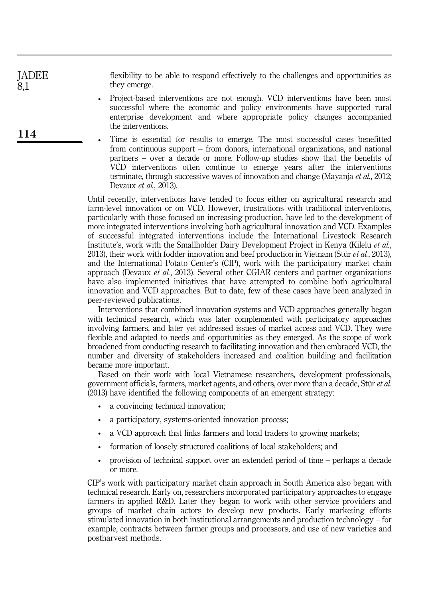flexibility to be able to respond effectively to the challenges and opportunities as they emerge.

- Project-based interventions are not enough. VCD interventions have been most successful where the economic and policy environments have supported rural enterprise development and where appropriate policy changes accompanied the interventions.
- Time is essential for results to emerge. The most successful cases benefitted from continuous support – from donors, international organizations, and national partners – over a decade or more. Follow-up studies show that the benefits of VCD interventions often continue to emerge years after the interventions terminate, through successive waves of innovation and change (Mayanja et al., 2012; Devaux et al., 2013).

Until recently, interventions have tended to focus either on agricultural research and farm-level innovation or on VCD. However, frustrations with traditional interventions, particularly with those focused on increasing production, have led to the development of more integrated interventions involving both agricultural innovation and VCD. Examples of successful integrated interventions include the International Livestock Research Institute's, work with the Smallholder Dairy Development Project in Kenya (Kilelu et al., 2013), their work with fodder innovation and beef production in Vietnam (Stür et al., 2013), and the International Potato Center's (CIP), work with the participatory market chain approach (Devaux et al., 2013). Several other CGIAR centers and partner organizations have also implemented initiatives that have attempted to combine both agricultural innovation and VCD approaches. But to date, few of these cases have been analyzed in peer-reviewed publications.

Interventions that combined innovation systems and VCD approaches generally began with technical research, which was later complemented with participatory approaches involving farmers, and later yet addressed issues of market access and VCD. They were flexible and adapted to needs and opportunities as they emerged. As the scope of work broadened from conducting research to facilitating innovation and then embraced VCD, the number and diversity of stakeholders increased and coalition building and facilitation became more important.

Based on their work with local Vietnamese researchers, development professionals, government officials, farmers, market agents, and others, over more than a decade, Stür et al. (2013) have identified the following components of an emergent strategy:

- a convincing technical innovation;
- a participatory, systems-oriented innovation process;
- a VCD approach that links farmers and local traders to growing markets;
- formation of loosely structured coalitions of local stakeholders; and
- provision of technical support over an extended period of time perhaps a decade or more.

CIP's work with participatory market chain approach in South America also began with technical research. Early on, researchers incorporated participatory approaches to engage farmers in applied R&D. Later they began to work with other service providers and groups of market chain actors to develop new products. Early marketing efforts stimulated innovation in both institutional arrangements and production technology – for example, contracts between farmer groups and processors, and use of new varieties and postharvest methods.

114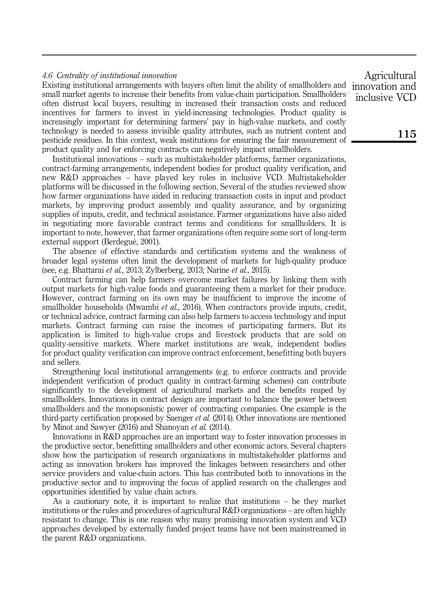# 4.6 Centrality of institutional innovation

Existing institutional arrangements with buyers often limit the ability of smallholders and small market agents to increase their benefits from value-chain participation. Smallholders often distrust local buyers, resulting in increased their transaction costs and reduced incentives for farmers to invest in yield-increasing technologies. Product quality is increasingly important for determining farmers' pay in high-value markets, and costly technology is needed to assess invisible quality attributes, such as nutrient content and pesticide residues. In this context, weak institutions for ensuring the fair measurement of product quality and for enforcing contracts can negatively impact smallholders.

Institutional innovations – such as multistakeholder platforms, farmer organizations, contract-farming arrangements, independent bodies for product quality verification, and new R&D approaches – have played key roles in inclusive VCD. Multistakeholder platforms will be discussed in the following section. Several of the studies reviewed show how farmer organizations have aided in reducing transaction costs in input and product markets, by improving product assembly and quality assurance, and by organizing supplies of inputs, credit, and technical assistance. Farmer organizations have also aided in negotiating more favorable contract terms and conditions for smallholders. It is important to note, however, that farmer organizations often require some sort of long-term external support (Berdegué, 2001).

The absence of effective standards and certification systems and the weakness of broader legal systems often limit the development of markets for high-quality produce (see, e.g. Bhattarai et al., 2013; Zylberberg, 2013; Narine et al., 2015).

Contract farming can help farmers overcome market failures by linking them with output markets for high-value foods and guaranteeing them a market for their produce. However, contract farming on its own may be insufficient to improve the income of smallholder households (Mwambi et al., 2016). When contractors provide inputs, credit, or technical advice, contract farming can also help farmers to access technology and input markets. Contract farming can raise the incomes of participating farmers. But its application is limited to high-value crops and livestock products that are sold on quality-sensitive markets. Where market institutions are weak, independent bodies for product quality verification can improve contract enforcement, benefitting both buyers and sellers.

Strengthening local institutional arrangements (e.g. to enforce contracts and provide independent verification of product quality in contract-farming schemes) can contribute significantly to the development of agricultural markets and the benefits reaped by smallholders. Innovations in contract design are important to balance the power between smallholders and the monopsonistic power of contracting companies. One example is the third-party certification proposed by Saenger et al. (2014). Other innovations are mentioned by Minot and Sawyer (2016) and Shanoyan et al. (2014).

Innovations in R&D approaches are an important way to foster innovation processes in the productive sector, benefitting smallholders and other economic actors. Several chapters show how the participation of research organizations in multistakeholder platforms and acting as innovation brokers has improved the linkages between researchers and other service providers and value-chain actors. This has contributed both to innovations in the productive sector and to improving the focus of applied research on the challenges and opportunities identified by value chain actors.

As a cautionary note, it is important to realize that institutions – be they market institutions or the rules and procedures of agricultural R&D organizations – are often highly resistant to change. This is one reason why many promising innovation system and VCD approaches developed by externally funded project teams have not been mainstreamed in the parent R&D organizations.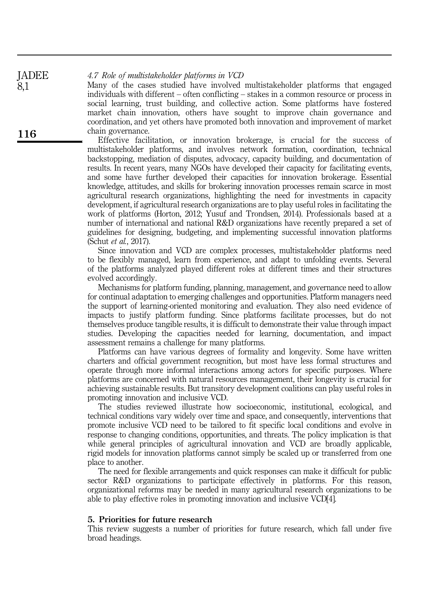4.7 Role of multistakeholder platforms in VCD JADEE

Many of the cases studied have involved multistakeholder platforms that engaged individuals with different – often conflicting – stakes in a common resource or process in social learning, trust building, and collective action. Some platforms have fostered market chain innovation, others have sought to improve chain governance and coordination, and yet others have promoted both innovation and improvement of market chain governance.

Effective facilitation, or innovation brokerage, is crucial for the success of multistakeholder platforms, and involves network formation, coordination, technical backstopping, mediation of disputes, advocacy, capacity building, and documentation of results. In recent years, many NGOs have developed their capacity for facilitating events, and some have further developed their capacities for innovation brokerage. Essential knowledge, attitudes, and skills for brokering innovation processes remain scarce in most agricultural research organizations, highlighting the need for investments in capacity development, if agricultural research organizations are to play useful roles in facilitating the work of platforms (Horton, 2012; Yusuf and Trondsen, 2014). Professionals based at a number of international and national R&D organizations have recently prepared a set of guidelines for designing, budgeting, and implementing successful innovation platforms (Schut et al., 2017).

Since innovation and VCD are complex processes, multistakeholder platforms need to be flexibly managed, learn from experience, and adapt to unfolding events. Several of the platforms analyzed played different roles at different times and their structures evolved accordingly.

Mechanisms for platform funding, planning, management, and governance need to allow for continual adaptation to emerging challenges and opportunities. Platform managers need the support of learning-oriented monitoring and evaluation. They also need evidence of impacts to justify platform funding. Since platforms facilitate processes, but do not themselves produce tangible results, it is difficult to demonstrate their value through impact studies. Developing the capacities needed for learning, documentation, and impact assessment remains a challenge for many platforms.

Platforms can have various degrees of formality and longevity. Some have written charters and official government recognition, but most have less formal structures and operate through more informal interactions among actors for specific purposes. Where platforms are concerned with natural resources management, their longevity is crucial for achieving sustainable results. But transitory development coalitions can play useful roles in promoting innovation and inclusive VCD.

The studies reviewed illustrate how socioeconomic, institutional, ecological, and technical conditions vary widely over time and space, and consequently, interventions that promote inclusive VCD need to be tailored to fit specific local conditions and evolve in response to changing conditions, opportunities, and threats. The policy implication is that while general principles of agricultural innovation and VCD are broadly applicable, rigid models for innovation platforms cannot simply be scaled up or transferred from one place to another.

The need for flexible arrangements and quick responses can make it difficult for public sector R&D organizations to participate effectively in platforms. For this reason, organizational reforms may be needed in many agricultural research organizations to be able to play effective roles in promoting innovation and inclusive VCD[4].

# 5. Priorities for future research

This review suggests a number of priorities for future research, which fall under five broad headings.

116

8,1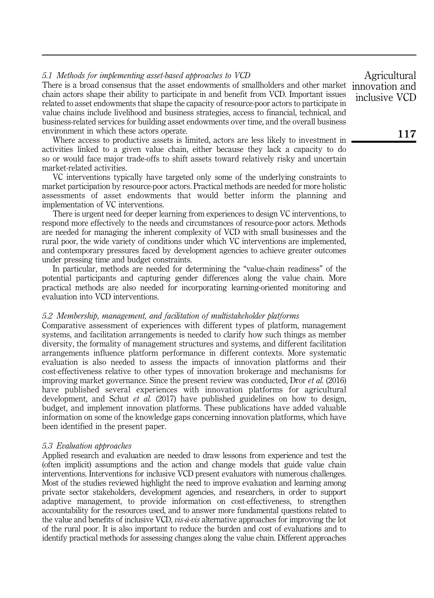# 5.1 Methods for implementing asset-based approaches to VCD

There is a broad consensus that the asset endowments of smallholders and other market chain actors shape their ability to participate in and benefit from VCD. Important issues related to asset endowments that shape the capacity of resource-poor actors to participate in value chains include livelihood and business strategies, access to financial, technical, and business-related services for building asset endowments over time, and the overall business environment in which these actors operate.

Where access to productive assets is limited, actors are less likely to investment in activities linked to a given value chain, either because they lack a capacity to do so or would face major trade-offs to shift assets toward relatively risky and uncertain market-related activities.

VC interventions typically have targeted only some of the underlying constraints to market participation by resource-poor actors. Practical methods are needed for more holistic assessments of asset endowments that would better inform the planning and implementation of VC interventions.

There is urgent need for deeper learning from experiences to design VC interventions, to respond more effectively to the needs and circumstances of resource-poor actors. Methods are needed for managing the inherent complexity of VCD with small businesses and the rural poor, the wide variety of conditions under which VC interventions are implemented, and contemporary pressures faced by development agencies to achieve greater outcomes under pressing time and budget constraints.

In particular, methods are needed for determining the "value-chain readiness" of the potential participants and capturing gender differences along the value chain. More practical methods are also needed for incorporating learning-oriented monitoring and evaluation into VCD interventions.

## 5.2 Membership, management, and facilitation of multistakeholder platforms

Comparative assessment of experiences with different types of platform, management systems, and facilitation arrangements is needed to clarify how such things as member diversity, the formality of management structures and systems, and different facilitation arrangements influence platform performance in different contexts. More systematic evaluation is also needed to assess the impacts of innovation platforms and their cost-effectiveness relative to other types of innovation brokerage and mechanisms for improving market governance. Since the present review was conducted, Dror et al. (2016) have published several experiences with innovation platforms for agricultural development, and Schut et al. (2017) have published guidelines on how to design, budget, and implement innovation platforms. These publications have added valuable information on some of the knowledge gaps concerning innovation platforms, which have been identified in the present paper.

## 5.3 Evaluation approaches

Applied research and evaluation are needed to draw lessons from experience and test the (often implicit) assumptions and the action and change models that guide value chain interventions. Interventions for inclusive VCD present evaluators with numerous challenges. Most of the studies reviewed highlight the need to improve evaluation and learning among private sector stakeholders, development agencies, and researchers, in order to support adaptive management, to provide information on cost-effectiveness, to strengthen accountability for the resources used, and to answer more fundamental questions related to the value and benefits of inclusive VCD, *vis-à-vis* alternative approaches for improving the lot of the rural poor. It is also important to reduce the burden and cost of evaluations and to identify practical methods for assessing changes along the value chain. Different approaches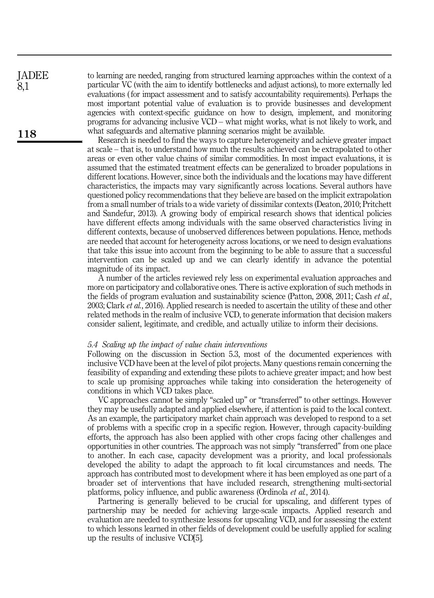to learning are needed, ranging from structured learning approaches within the context of a particular VC (with the aim to identify bottlenecks and adjust actions), to more externally led evaluations ( for impact assessment and to satisfy accountability requirements). Perhaps the most important potential value of evaluation is to provide businesses and development agencies with context-specific guidance on how to design, implement, and monitoring programs for advancing inclusive VCD – what might works, what is not likely to work, and what safeguards and alternative planning scenarios might be available.

Research is needed to find the ways to capture heterogeneity and achieve greater impact at scale – that is, to understand how much the results achieved can be extrapolated to other areas or even other value chains of similar commodities. In most impact evaluations, it is assumed that the estimated treatment effects can be generalized to broader populations in different locations. However, since both the individuals and the locations may have different characteristics, the impacts may vary significantly across locations. Several authors have questioned policy recommendations that they believe are based on the implicit extrapolation from a small number of trials to a wide variety of dissimilar contexts (Deaton, 2010; Pritchett and Sandefur, 2013). A growing body of empirical research shows that identical policies have different effects among individuals with the same observed characteristics living in different contexts, because of unobserved differences between populations. Hence, methods are needed that account for heterogeneity across locations, or we need to design evaluations that take this issue into account from the beginning to be able to assure that a successful intervention can be scaled up and we can clearly identify in advance the potential magnitude of its impact.

A number of the articles reviewed rely less on experimental evaluation approaches and more on participatory and collaborative ones. There is active exploration of such methods in the fields of program evaluation and sustainability science (Patton, 2008, 2011; Cash et al., 2003; Clark et al., 2016). Applied research is needed to ascertain the utility of these and other related methods in the realm of inclusive VCD, to generate information that decision makers consider salient, legitimate, and credible, and actually utilize to inform their decisions.

#### 5.4 Scaling up the impact of value chain interventions

Following on the discussion in Section 5.3, most of the documented experiences with inclusive VCD have been at the level of pilot projects. Many questions remain concerning the feasibility of expanding and extending these pilots to achieve greater impact; and how best to scale up promising approaches while taking into consideration the heterogeneity of conditions in which VCD takes place.

VC approaches cannot be simply "scaled up" or "transferred" to other settings. However they may be usefully adapted and applied elsewhere, if attention is paid to the local context. As an example, the participatory market chain approach was developed to respond to a set of problems with a specific crop in a specific region. However, through capacity-building efforts, the approach has also been applied with other crops facing other challenges and opportunities in other countries. The approach was not simply "transferred" from one place to another. In each case, capacity development was a priority, and local professionals developed the ability to adapt the approach to fit local circumstances and needs. The approach has contributed most to development where it has been employed as one part of a broader set of interventions that have included research, strengthening multi-sectorial platforms, policy influence, and public awareness (Ordinola et al., 2014).

Partnering is generally believed to be crucial for upscaling, and different types of partnership may be needed for achieving large-scale impacts. Applied research and evaluation are needed to synthesize lessons for upscaling VCD, and for assessing the extent to which lessons learned in other fields of development could be usefully applied for scaling up the results of inclusive VCD[5].

118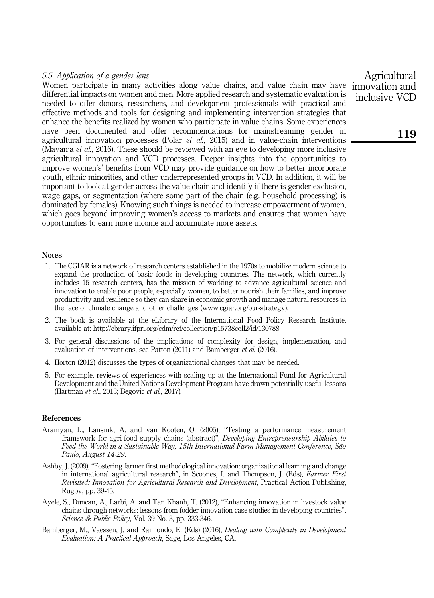# 5.5 Application of a gender lens

Women participate in many activities along value chains, and value chain may have differential impacts on women and men. More applied research and systematic evaluation is needed to offer donors, researchers, and development professionals with practical and effective methods and tools for designing and implementing intervention strategies that enhance the benefits realized by women who participate in value chains. Some experiences have been documented and offer recommendations for mainstreaming gender in agricultural innovation processes (Polar *et al.*, 2015) and in value-chain interventions (Mayanja et al., 2016). These should be reviewed with an eye to developing more inclusive agricultural innovation and VCD processes. Deeper insights into the opportunities to improve women's' benefits from VCD may provide guidance on how to better incorporate youth, ethnic minorities, and other underrepresented groups in VCD. In addition, it will be important to look at gender across the value chain and identify if there is gender exclusion, wage gaps, or segmentation (where some part of the chain (e.g. household processing) is dominated by females). Knowing such things is needed to increase empowerment of women, which goes beyond improving women's access to markets and ensures that women have opportunities to earn more income and accumulate more assets.

## Notes

- 1. The CGIAR is a network of research centers established in the 1970s to mobilize modern science to expand the production of basic foods in developing countries. The network, which currently includes 15 research centers, has the mission of working to advance agricultural science and innovation to enable poor people, especially women, to better nourish their families, and improve productivity and resilience so they can share in economic growth and manage natural resources in the face of climate change and other challenges [\(www.cgiar.org/our-strategy](www.cgiar.org/our-strategy)).
- 2. The book is available at the eLibrary of the International Food Policy Research Institute, available at:<http://ebrary.ifpri.org/cdm/ref/collection/p15738coll2/id/130788>
- 3. For general discussions of the implications of complexity for design, implementation, and evaluation of interventions, see Patton (2011) and Bamberger et al. (2016).
- 4. Horton (2012) discusses the types of organizational changes that may be needed.
- 5. For example, reviews of experiences with scaling up at the International Fund for Agricultural Development and the United Nations Development Program have drawn potentially useful lessons (Hartman et al., 2013; Begovic et al., 2017).

## References

- Aramyan, L., Lansink, A. and van Kooten, O. (2005), "Testing a performance measurement framework for agri-food supply chains (abstract)", Developing Entrepreneurship Abilities to Feed the World in a Sustainable Way, 15th International Farm Management Conference, São Paulo, August 14-29.
- Ashby, J. (2009), "Fostering farmer first methodological innovation: organizational learning and change in international agricultural research", in Scoones, I. and Thompson, J. (Eds), Farmer First Revisited: Innovation for Agricultural Research and Development, Practical Action Publishing, Rugby, pp. 39-45.
- Ayele, S., Duncan, A., Larbi, A. and Tan Khanh, T. (2012), "Enhancing innovation in livestock value chains through networks: lessons from fodder innovation case studies in developing countries", Science & Public Policy, Vol. 39 No. 3, pp. 333-346.
- Bamberger, M., Vaessen, J. and Raimondo, E. (Eds) (2016), *Dealing with Complexity in Development* Evaluation: A Practical Approach, Sage, Los Angeles, CA.

Agricultural innovation and inclusive VCD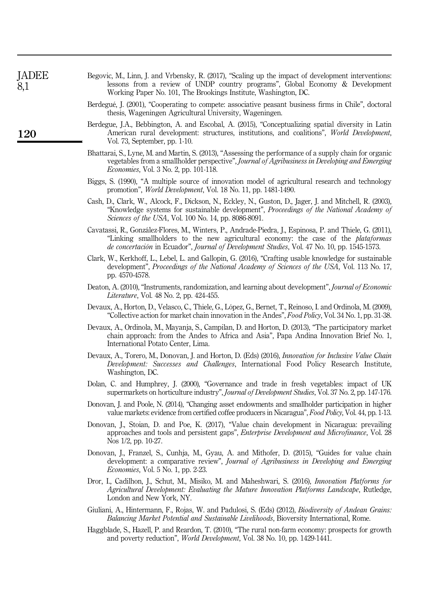| <b>JADEE</b><br>8,1 | Begovic, M., Linn, J. and Vrbensky, R. (2017), "Scaling up the impact of development interventions:<br>lessons from a review of UNDP country programs", Global Economy & Development<br>Working Paper No. 101, The Brookings Institute, Washington, DC.                                              |
|---------------------|------------------------------------------------------------------------------------------------------------------------------------------------------------------------------------------------------------------------------------------------------------------------------------------------------|
|                     | Berdegué, J. (2001), "Cooperating to compete: associative peasant business firms in Chile", doctoral<br>thesis, Wageningen Agricultural University, Wageningen.                                                                                                                                      |
| 120                 | Berdegue, J.A., Bebbington, A. and Escobal, A. (2015), "Conceptualizing spatial diversity in Latin<br>American rural development: structures, institutions, and coalitions", World Development,<br>Vol. 73, September, pp. 1-10.                                                                     |
|                     | Bhattarai, S., Lyne, M. and Martin, S. (2013), "Assessing the performance of a supply chain for organic<br>vegetables from a smallholder perspective", Journal of Agribusiness in Developing and Emerging<br><i>Economies</i> , Vol. 3 No. 2, pp. 101-118.                                           |
|                     | Biggs, S. (1990), "A multiple source of innovation model of agricultural research and technology<br>promotion", <i>World Development</i> , Vol. 18 No. 11, pp. 1481-1490.                                                                                                                            |
|                     | Cash, D., Clark, W., Alcock, F., Dickson, N., Eckley, N., Guston, D., Jager, J. and Mitchell, R. (2003),<br>"Knowledge systems for sustainable development", Proceedings of the National Academy of<br>Sciences of the USA, Vol. 100 No. 14, pp. 8086-8091.                                          |
|                     | Cavatassi, R., González-Flores, M., Winters, P., Andrade-Piedra, J., Espinosa, P. and Thiele, G. (2011),<br>"Linking smallholders to the new agricultural economy: the case of the <i>plataformas</i><br>de concertación in Ecuador", Journal of Development Studies, Vol. 47 No. 10, pp. 1545-1573. |
|                     | Clark, W., Kerkhoff, L., Lebel, L. and Gallopin, G. (2016), "Crafting usable knowledge for sustainable<br>development", Proceedings of the National Academy of Sciences of the USA, Vol. 113 No. 17,<br>pp. 4570-4578.                                                                               |
|                     | Deaton, A. (2010), "Instruments, randomization, and learning about development", Journal of Economic<br><i>Literature</i> , Vol. 48 No. 2, pp. 424-455.                                                                                                                                              |
|                     | Devaux, A., Horton, D., Velasco, C., Thiele, G., López, G., Bernet, T., Reinoso, I. and Ordinola, M. (2009),<br>"Collective action for market chain innovation in the Andes", Food Policy, Vol. 34 No. 1, pp. 31-38.                                                                                 |
|                     | Devaux, A., Ordinola, M., Mayanja, S., Campilan, D. and Horton, D. (2013), "The participatory market<br>chain approach: from the Andes to Africa and Asia", Papa Andina Innovation Brief No. 1,<br>International Potato Center, Lima.                                                                |
|                     | Devaux, A., Torero, M., Donovan, J. and Horton, D. (Eds) (2016), Innovation for Inclusive Value Chain<br>Development: Successes and Challenges, International Food Policy Research Institute,<br>Washington, DC.                                                                                     |
|                     | Dolan, C. and Humphrey, J. (2000), "Governance and trade in fresh vegetables: impact of UK<br>supermarkets on horticulture industry", Journal of Development Studies, Vol. 37 No. 2, pp. 147-176.                                                                                                    |
|                     | Donovan, J. and Poole, N. (2014), "Changing asset endowments and smallholder participation in higher<br>value markets: evidence from certified coffee producers in Nicaragua", Food Policy, Vol. 44, pp. 1-13.                                                                                       |
|                     | Donovan, J., Stoian, D. and Poe, K. (2017), "Value chain development in Nicaragua: prevailing<br>approaches and tools and persistent gaps", Enterprise Development and Microfinance, Vol. 28<br>Nos 1/2, pp. 10-27.                                                                                  |
|                     | Donovan, J., Franzel, S., Cunhja, M., Gyau, A. and Mithofer, D. (2015), "Guides for value chain<br>development: a comparative review", Journal of Agribusiness in Developing and Emerging<br><i>Economies</i> , Vol. 5 No. 1, pp. 2-23.                                                              |
|                     | Dror, I., Cadilhon, J., Schut, M., Misiko, M. and Maheshwari, S. (2016), <i>Innovation Platforms for</i><br>Agricultural Development: Evaluating the Mature Innovation Platforms Landscape, Rutledge,<br>London and New York, NY.                                                                    |
|                     | Giuliani, A., Hintermann, F., Rojas, W. and Padulosi, S. (Eds) (2012), <i>Biodiversity of Andean Grains:</i><br>Balancing Market Potential and Sustainable Livelihoods, Bioversity International, Rome.                                                                                              |
|                     | Haggblade, S., Hazell, P. and Reardon, T. (2010), "The rural non-farm economy: prospects for growth<br>and poverty reduction", <i>World Development</i> , Vol. 38 No. 10, pp. 1429-1441.                                                                                                             |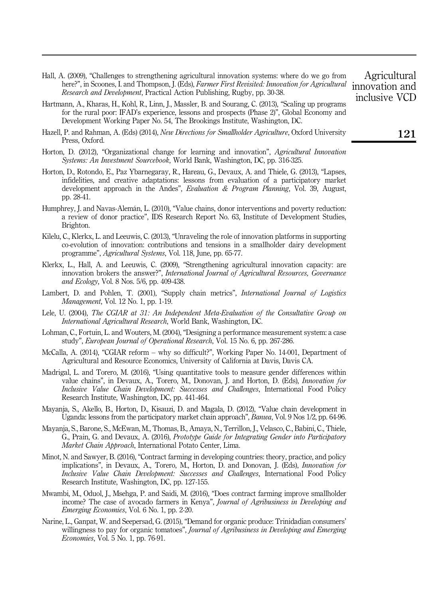- Hall, A. (2009), "Challenges to strengthening agricultural innovation systems: where do we go from here?", in Scoones, I. and Thompson, J. (Eds), Farmer First Revisited: Innovation for Agricultural Research and Development, Practical Action Publishing, Rugby, pp. 30-38.
- Hartmann, A., Kharas, H., Kohl, R., Linn, J., Massler, B. and Sourang, C. (2013), "Scaling up programs for the rural poor: IFAD's experience, lessons and prospects (Phase 2)", Global Economy and Development Working Paper No. 54, The Brookings Institute, Washington, DC.
- Hazell, P. and Rahman, A. (Eds) (2014), New Directions for Smallholder Agriculture, Oxford University Press, Oxford.
- Horton, D. (2012), "Organizational change for learning and innovation", Agricultural Innovation Systems: An Investment Sourcebook, World Bank, Washington, DC, pp. 316-325.
- Horton, D., Rotondo, E., Paz Ybarnegaray, R., Hareau, G., Devaux, A. and Thiele, G. (2013), "Lapses, infidelities, and creative adaptations: lessons from evaluation of a participatory market development approach in the Andes", Evaluation & Program Planning, Vol. 39, August, pp. 28-41.
- Humphrey, J. and Navas-Alemán, L. (2010), "Value chains, donor interventions and poverty reduction: a review of donor practice", IDS Research Report No. 63, Institute of Development Studies, Brighton.
- Kilelu, C., Klerkx, L. and Leeuwis, C. (2013), "Unraveling the role of innovation platforms in supporting co-evolution of innovation: contributions and tensions in a smallholder dairy development programme", Agricultural Systems, Vol. 118, June, pp. 65-77.
- Klerkx, L., Hall, A. and Leeuwis, C. (2009), "Strengthening agricultural innovation capacity: are innovation brokers the answer?", International Journal of Agricultural Resources, Governance and Ecology, Vol. 8 Nos. 5/6, pp. 409-438.
- Lambert, D. and Pohlen, T. (2001), "Supply chain metrics", *International Journal of Logistics* Management, Vol. 12 No. 1, pp. 1-19.
- Lele, U. (2004), The CGIAR at 31: An Independent Meta-Evaluation of the Consultative Group on International Agricultural Research, World Bank, Washington, DC.
- Lohman, C., Fortuin, L. and Wouters, M. (2004), "Designing a performance measurement system: a case study", European Journal of Operational Research, Vol. 15 No. 6, pp. 267-286.
- McCalla, A. (2014), "CGIAR reform why so difficult?", Working Paper No. 14-001, Department of Agricultural and Resource Economics, University of California at Davis, Davis CA.
- Madrigal, L. and Torero, M. (2016), "Using quantitative tools to measure gender differences within value chains", in Devaux, A., Torero, M., Donovan, J. and Horton, D. (Eds), Innovation for Inclusive Value Chain Development: Successes and Challenges, International Food Policy Research Institute, Washington, DC, pp. 441-464.
- Mayanja, S., Akello, B., Horton, D., Kisauzi, D. and Magala, D. (2012), "Value chain development in Uganda: lessons from the participatory market chain approach", Banwa, Vol. 9 Nos 1/2, pp. 64-96.
- Mayanja, S., Barone, S., McEwan, M., Thomas, B., Amaya, N., Terrillon, J., Velasco, C., Babini, C., Thiele, G., Prain, G. and Devaux, A. (2016), Prototype Guide for Integrating Gender into Participatory Market Chain Approach, International Potato Center, Lima.
- Minot, N. and Sawyer, B. (2016), "Contract farming in developing countries: theory, practice, and policy implications", in Devaux, A., Torero, M., Horton, D. and Donovan, J. (Eds), Innovation for Inclusive Value Chain Development: Successes and Challenges, International Food Policy Research Institute, Washington, DC, pp. 127-155.
- Mwambi, M., Oduol, J., Msehga, P. and Saidi, M. (2016), "Does contract farming improve smallholder income? The case of avocado farmers in Kenya", Journal of Agribusiness in Developing and Emerging Economies, Vol. 6 No. 1, pp. 2-20.
- Narine, L., Ganpat, W. and Seepersad, G. (2015), "Demand for organic produce: Trinidadian consumers' willingness to pay for organic tomatoes", Journal of Agribusiness in Developing and Emerging Economies, Vol. 5 No. 1, pp. 76-91.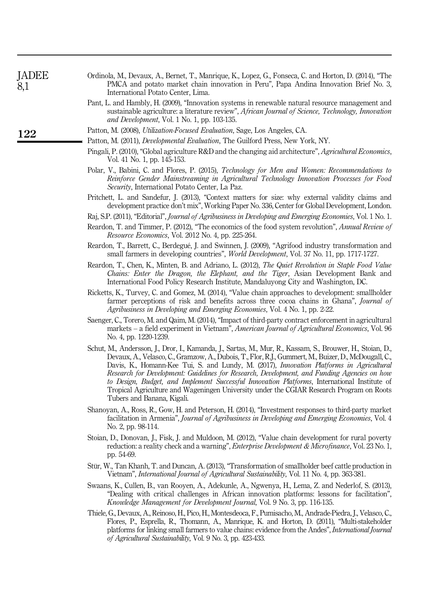| 8,1 | PMCA and potato market chain innovation in Peru", Papa Andina Innovation Brief No. 3,<br>International Potato Center, Lima.                                                                                                                                                                                                                                                                                                                                                                                                                                                                                                              |  |  |  |  |  |
|-----|------------------------------------------------------------------------------------------------------------------------------------------------------------------------------------------------------------------------------------------------------------------------------------------------------------------------------------------------------------------------------------------------------------------------------------------------------------------------------------------------------------------------------------------------------------------------------------------------------------------------------------------|--|--|--|--|--|
|     | Pant, L. and Hambly, H. (2009), "Innovation systems in renewable natural resource management and<br>sustainable agriculture: a literature review", African Journal of Science, Technology, Innovation<br>and Development, Vol. 1 No. 1, pp. 103-135.                                                                                                                                                                                                                                                                                                                                                                                     |  |  |  |  |  |
| 122 | Patton, M. (2008), Utilization-Focused Evaluation, Sage, Los Angeles, CA.                                                                                                                                                                                                                                                                                                                                                                                                                                                                                                                                                                |  |  |  |  |  |
|     | Patton, M. (2011), <i>Developmental Evaluation</i> , The Guilford Press, New York, NY.                                                                                                                                                                                                                                                                                                                                                                                                                                                                                                                                                   |  |  |  |  |  |
|     | Pingali, P. (2010), "Global agriculture R&D and the changing aid architecture", <i>Agricultural Economics</i> ,<br>Vol. 41 No. 1, pp. 145-153.                                                                                                                                                                                                                                                                                                                                                                                                                                                                                           |  |  |  |  |  |
|     | Polar, V., Babini, C. and Flores, P. (2015), Technology for Men and Women: Recommendations to<br>Reinforce Gender Mainstreaming in Agricultural Technology Innovation Processes for Food<br>Security, International Potato Center, La Paz.                                                                                                                                                                                                                                                                                                                                                                                               |  |  |  |  |  |
|     | Pritchett, L. and Sandefur, J. (2013), "Context matters for size: why external validity claims and<br>development practice don't mix", Working Paper No. 336, Center for Global Development, London.                                                                                                                                                                                                                                                                                                                                                                                                                                     |  |  |  |  |  |
|     | Raj, S.P. (2011), "Editorial", Journal of Agribusiness in Developing and Emerging Economies, Vol. 1 No. 1.                                                                                                                                                                                                                                                                                                                                                                                                                                                                                                                               |  |  |  |  |  |
|     | Reardon, T. and Timmer, P. (2012), "The economics of the food system revolution", Annual Review of<br>Resource Economics, Vol. 2012 No. 4, pp. 225-264.                                                                                                                                                                                                                                                                                                                                                                                                                                                                                  |  |  |  |  |  |
|     | Reardon, T., Barrett, C., Berdegué, J. and Swinnen, J. (2009), "Agrifood industry transformation and<br>small farmers in developing countries", World Development, Vol. 37 No. 11, pp. 1717-1727.                                                                                                                                                                                                                                                                                                                                                                                                                                        |  |  |  |  |  |
|     | Reardon, T., Chen, K., Minten, B. and Adriano, L. (2012), The Quiet Revolution in Staple Food Value<br><i>Chains: Enter the Dragon, the Elephant, and the Tiger, Asian Development Bank and</i><br>International Food Policy Research Institute, Mandaluyong City and Washington, DC.                                                                                                                                                                                                                                                                                                                                                    |  |  |  |  |  |
|     | Ricketts, K., Turvey, C. and Gomez, M. (2014), "Value chain approaches to development: smallholder<br>farmer perceptions of risk and benefits across three cocoa chains in Ghana", Journal of<br>Agribusiness in Developing and Emerging Economies, Vol. 4 No. 1, pp. 2-22.                                                                                                                                                                                                                                                                                                                                                              |  |  |  |  |  |
|     | Saenger, C., Torero, M. and Qaim, M. (2014), "Impact of third-party contract enforcement in agricultural<br>markets – a field experiment in Vietnam", American Journal of Agricultural Economics, Vol. 96<br>No. 4, pp. 1220-1239.                                                                                                                                                                                                                                                                                                                                                                                                       |  |  |  |  |  |
|     | Schut, M., Andersson, J., Dror, I., Kamanda, J., Sartas, M., Mur, R., Kassam, S., Brouwer, H., Stoian, D.,<br>Devaux, A., Velasco, C., Gramzow, A., Dubois, T., Flor, R.J., Gummert, M., Buizer, D., McDougall, C.,<br>Davis, K., Homann-Kee Tui, S. and Lundy, M. (2017), Innovation Platforms in Agricultural<br>Research for Development: Guidelines for Research, Development, and Funding Agencies on how<br>to Design, Budget, and Implement Successful Innovation Platforms, International Institute of<br>Tropical Agriculture and Wageningen University under the CGIAR Research Program on Roots<br>Tubers and Banana, Kigali. |  |  |  |  |  |
|     | Shanoyan, A., Ross, R., Gow, H. and Peterson, H. (2014), "Investment responses to third-party market<br>facilitation in Armenia", <i>Journal of Agribusiness in Developing and Emerging Economies</i> , Vol. 4<br>No. 2, pp. 98-114.                                                                                                                                                                                                                                                                                                                                                                                                     |  |  |  |  |  |
|     | Stoian, D., Donovan, J., Fisk, J. and Muldoon, M. (2012), "Value chain development for rural poverty<br>reduction: a reality check and a warning", <i>Enterprise Development &amp; Microfinance</i> , Vol. 23 No. 1,<br>pp. 54-69.                                                                                                                                                                                                                                                                                                                                                                                                       |  |  |  |  |  |
|     | Stür, W., Tan Khanh, T. and Duncan, A. (2013), "Transformation of smallholder beef cattle production in<br>Vietnam", International Journal of Agricultural Sustainability, Vol. 11 No. 4, pp. 363-381.                                                                                                                                                                                                                                                                                                                                                                                                                                   |  |  |  |  |  |
|     | Swaans, K., Cullen, B., van Rooyen, A., Adekunle, A., Ngwenya, H., Lema, Z. and Nederlof, S. (2013),<br>"Dealing with critical challenges in African innovation platforms: lessons for facilitation",<br>Knowledge Management for Development Journal, Vol. 9 No. 3, pp. 116-135.                                                                                                                                                                                                                                                                                                                                                        |  |  |  |  |  |
|     | Thiele, G., Devaux, A., Reinoso, H., Pico, H., Montesdeoca, F., Pumisacho, M., Andrade-Piedra, J., Velasco, C.,<br>Flores, P., Esprella, R., Thomann, A., Manrique, K. and Horton, D. (2011), "Multi-stakeholder<br>platforms for linking small farmers to value chains: evidence from the Andes", <i>International Journal</i><br>of Agricultural Sustainability, Vol. 9 No. 3, pp. 423-433.                                                                                                                                                                                                                                            |  |  |  |  |  |
|     |                                                                                                                                                                                                                                                                                                                                                                                                                                                                                                                                                                                                                                          |  |  |  |  |  |

Ordinola, M., Devaux, A., Bernet, T., Manrique, K., Lopez, G., Fonseca, C. and Horton, D. (2014), "The